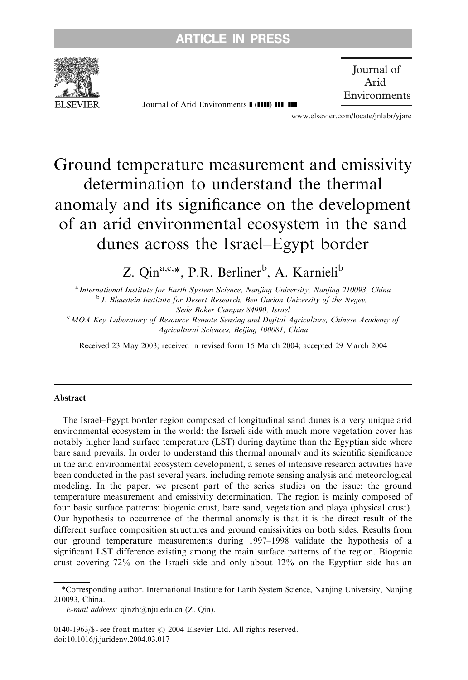

Journal of Arid Environments  $\blacksquare$  ( $\blacksquare\blacksquare$ )  $\blacksquare\blacksquare\blacksquare\blacksquare$ 

 Journal of Arid Environments

www.elsevier.com/locate/jnlabr/yjare

# Ground temperature measurement and emissivity determination to understand the thermal anomaly and its significance on the development of an arid environmental ecosystem in the sand dunes across the Israel–Egypt border

Z. Qin<sup>a,c,\*</sup>, P.R. Berliner<sup>b</sup>, A. Karnieli<sup>b</sup>

<sup>a</sup> International Institute for Earth System Science, Nanjing University, Nanjing 210093, China b *J. Blaustein Institute for Desert Research, Ben Gurion University of the Negev, Sede Boker Campus 84990, Israel*

<sup>c</sup>*MOA Key Laboratory of Resource Remote Sensing and Digital Agriculture, Chinese Academy of Agricultural Sciences, Beijing 100081, China*

Received 23 May 2003; received in revised form 15 March 2004; accepted 29 March 2004

### Abstract

The Israel–Egypt border region composed of longitudinal sand dunes is a very unique arid environmental ecosystem in the world: the Israeli side with much more vegetation cover has notably higher land surface temperature (LST) during daytime than the Egyptian side where bare sand prevails. In order to understand this thermal anomaly and its scientific significance in the arid environmental ecosystem development, a series of intensive research activities have been conducted in the past several years, including remote sensing analysis and meteorological modeling. In the paper, we present part of the series studies on the issue: the ground temperature measurement and emissivity determination. The region is mainly composed of four basic surface patterns: biogenic crust, bare sand, vegetation and playa (physical crust). Our hypothesis to occurrence of the thermal anomaly is that it is the direct result of the different surface composition structures and ground emissivities on both sides. Results from our ground temperature measurements during 1997–1998 validate the hypothesis of a significant LST difference existing among the main surface patterns of the region. Biogenic crust covering 72% on the Israeli side and only about 12% on the Egyptian side has an

<sup>\*</sup>Corresponding author. International Institute for Earth System Science, Nanjing University, Nanjing 210093, China.

E-mail address: qinzh@nju.edu.cn (Z. Qin).

<sup>0140-1963/\$ -</sup> see front matter  $\odot$  2004 Elsevier Ltd. All rights reserved. doi:10.1016/j.jaridenv.2004.03.017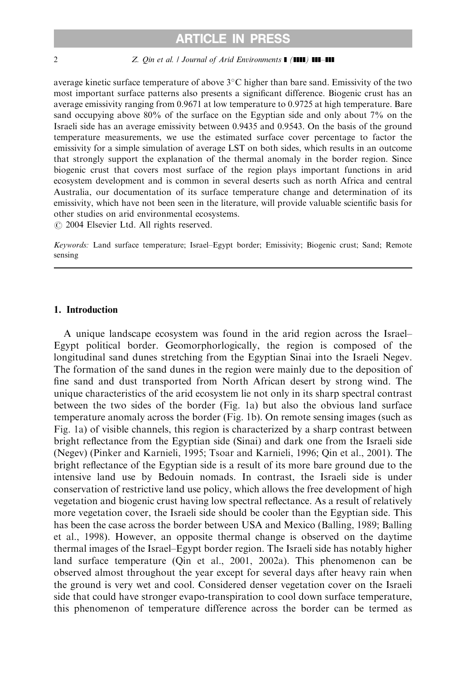### 2 *Z. Qin et al. | Journal of Arid Environments*  $\blacksquare$  *(* $\blacksquare$ )  $\blacksquare$

average kinetic surface temperature of above  $3^{\circ}$ C higher than bare sand. Emissivity of the two most important surface patterns also presents a significant difference. Biogenic crust has an average emissivity ranging from 0.9671 at low temperature to 0.9725 at high temperature. Bare sand occupying above 80% of the surface on the Egyptian side and only about 7% on the Israeli side has an average emissivity between 0.9435 and 0.9543. On the basis of the ground temperature measurements, we use the estimated surface cover percentage to factor the emissivity for a simple simulation of average LST on both sides, which results in an outcome that strongly support the explanation of the thermal anomaly in the border region. Since biogenic crust that covers most surface of the region plays important functions in arid ecosystem development and is common in several deserts such as north Africa and central Australia, our documentation of its surface temperature change and determination of its emissivity, which have not been seen in the literature, will provide valuable scientific basis for other studies on arid environmental ecosystems.

 $O$  2004 Elsevier Ltd. All rights reserved.

*Keywords:* Land surface temperature; Israel–Egypt border; Emissivity; Biogenic crust; Sand; Remote sensing

### 1. Introduction

A unique landscape ecosystem was found in the arid region across the Israel– Egypt political border. Geomorphorlogically, the region is composed of the longitudinal sand dunes stretching from the Egyptian Sinai into the Israeli Negev. The formation of the sand dunes in the region were mainly due to the deposition of fine sand and dust transported from North African desert by strong wind. The unique characteristics of the arid ecosystem lie not only in its sharp spectral contrast between the two sides of the border (Fig. 1a) but also the obvious land surface temperature anomaly across the border (Fig. 1b). On remote sensing images (such as Fig. 1a) of visible channels, this region is characterized by a sharp contrast between bright reflectance from the Egyptian side (Sinai) and dark one from the Israeli side (Negev) (Pinker and Karnieli, 1995; Tsoar and Karnieli, 1996; Qin et al., 2001). The bright reflectance of the Egyptian side is a result of its more bare ground due to the intensive land use by Bedouin nomads. In contrast, the Israeli side is under conservation of restrictive land use policy, which allows the free development of high vegetation and biogenic crust having low spectral reflectance. As a result of relatively more vegetation cover, the Israeli side should be cooler than the Egyptian side. This has been the case across the border between USA and Mexico (Balling, 1989; Balling et al., 1998). However, an opposite thermal change is observed on the daytime thermal images of the Israel–Egypt border region. The Israeli side has notably higher land surface temperature (Qin et al., 2001, 2002a). This phenomenon can be observed almost throughout the year except for several days after heavy rain when the ground is very wet and cool. Considered denser vegetation cover on the Israeli side that could have stronger evapo-transpiration to cool down surface temperature, this phenomenon of temperature difference across the border can be termed as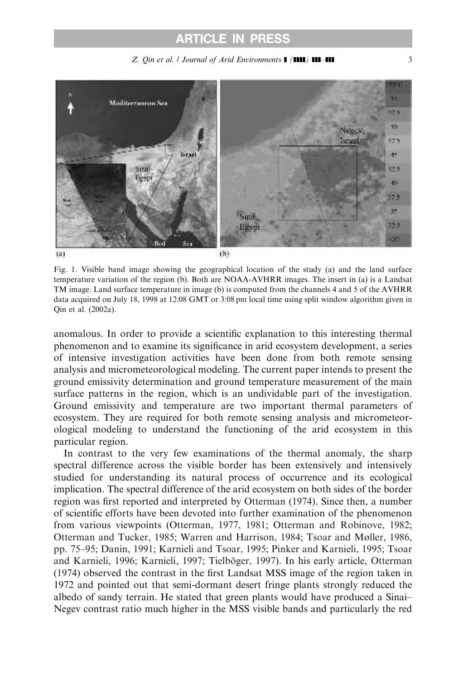*Z. Qin et al. | Journal of Arid Environments*  $\blacksquare$  *(* $\blacksquare$ )  $\blacksquare$  $\blacksquare$ ] 3



Fig. 1. Visible band image showing the geographical location of the study (a) and the land surface temperature variation of the region (b). Both are NOAA-AVHRR images. The insert in (a) is a Landsat TM image. Land surface temperature in image (b) is computed from the channels 4 and 5 of the AVHRR data acquired on July 18, 1998 at 12:08 GMT or 3:08 pm local time using split window algorithm given in Qin et al. (2002a).

anomalous. In order to provide a scientific explanation to this interesting thermal phenomenon and to examine its significance in arid ecosystem development, a series of intensive investigation activities have been done from both remote sensing analysis and micrometeorological modeling. The current paper intends to present the ground emissivity determination and ground temperature measurement of the main surface patterns in the region, which is an undividable part of the investigation. Ground emissivity and temperature are two important thermal parameters of ecosystem. They are required for both remote sensing analysis and micrometeorological modeling to understand the functioning of the arid ecosystem in this particular region.

In contrast to the very few examinations of the thermal anomaly, the sharp spectral difference across the visible border has been extensively and intensively studied for understanding its natural process of occurrence and its ecological implication. The spectral difference of the arid ecosystem on both sides of the border region was first reported and interpreted by Otterman (1974). Since then, a number of scientific efforts have been devoted into further examination of the phenomenon from various viewpoints (Otterman, 1977, 1981; Otterman and Robinove, 1982; Otterman and Tucker, 1985; Warren and Harrison, 1984; Tsoar and Møller, 1986, pp. 75–95; Danin, 1991; Karnieli and Tsoar, 1995; Pinker and Karnieli, 1995; Tsoar and Karnieli, 1996; Karnieli, 1997; Tielböger, 1997). In his early article, Otterman (1974) observed the contrast in the first Landsat MSS image of the region taken in 1972 and pointed out that semi-dormant desert fringe plants strongly reduced the albedo of sandy terrain. He stated that green plants would have produced a Sinai– Negev contrast ratio much higher in the MSS visible bands and particularly the red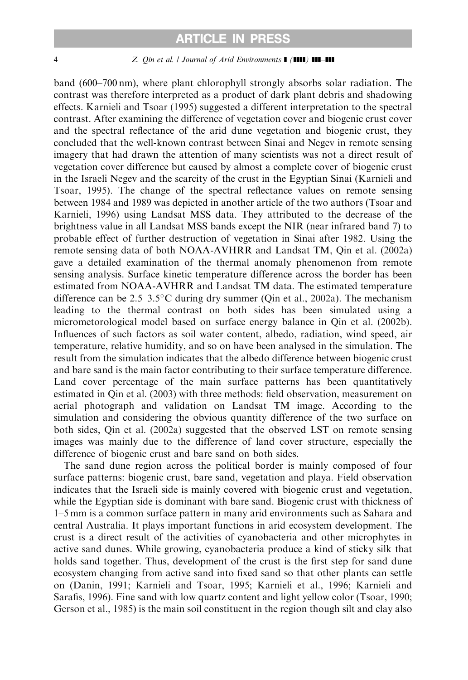### 4 *Z. Qin et al. | Journal of Arid Environments*  $\blacksquare$  *(* $\blacksquare$ )  $\blacksquare$

band (600–700 nm), where plant chlorophyll strongly absorbs solar radiation. The contrast was therefore interpreted as a product of dark plant debris and shadowing effects. Karnieli and Tsoar (1995) suggested a different interpretation to the spectral contrast. After examining the difference of vegetation cover and biogenic crust cover and the spectral reflectance of the arid dune vegetation and biogenic crust, they concluded that the well-known contrast between Sinai and Negev in remote sensing imagery that had drawn the attention of many scientists was not a direct result of vegetation cover difference but caused by almost a complete cover of biogenic crust in the Israeli Negev and the scarcity of the crust in the Egyptian Sinai (Karnieli and Tsoar, 1995). The change of the spectral reflectance values on remote sensing between 1984 and 1989 was depicted in another article of the two authors (Tsoar and Karnieli, 1996) using Landsat MSS data. They attributed to the decrease of the brightness value in all Landsat MSS bands except the NIR (near infrared band 7) to probable effect of further destruction of vegetation in Sinai after 1982. Using the remote sensing data of both NOAA-AVHRR and Landsat TM, Qin et al. (2002a) gave a detailed examination of the thermal anomaly phenomenon from remote sensing analysis. Surface kinetic temperature difference across the border has been estimated from NOAA-AVHRR and Landsat TM data. The estimated temperature difference can be 2.5–3.5°C during dry summer (Qin et al., 2002a). The mechanism leading to the thermal contrast on both sides has been simulated using a micrometorological model based on surface energy balance in Qin et al. (2002b). Influences of such factors as soil water content, albedo, radiation, wind speed, air temperature, relative humidity, and so on have been analysed in the simulation. The result from the simulation indicates that the albedo difference between biogenic crust and bare sand is the main factor contributing to their surface temperature difference. Land cover percentage of the main surface patterns has been quantitatively estimated in Qin et al. (2003) with three methods: field observation, measurement on aerial photograph and validation on Landsat TM image. According to the simulation and considering the obvious quantity difference of the two surface on both sides, Qin et al. (2002a) suggested that the observed LST on remote sensing images was mainly due to the difference of land cover structure, especially the difference of biogenic crust and bare sand on both sides.

The sand dune region across the political border is mainly composed of four surface patterns: biogenic crust, bare sand, vegetation and playa. Field observation indicates that the Israeli side is mainly covered with biogenic crust and vegetation, while the Egyptian side is dominant with bare sand. Biogenic crust with thickness of 1–5 mm is a common surface pattern in many arid environments such as Sahara and central Australia. It plays important functions in arid ecosystem development. The crust is a direct result of the activities of cyanobacteria and other microphytes in active sand dunes. While growing, cyanobacteria produce a kind of sticky silk that holds sand together. Thus, development of the crust is the first step for sand dune ecosystem changing from active sand into fixed sand so that other plants can settle on (Danin, 1991; Karnieli and Tsoar, 1995; Karnieli et al., 1996; Karnieli and Sarafis, 1996). Fine sand with low quartz content and light yellow color (Tsoar, 1990; Gerson et al., 1985) is the main soil constituent in the region though silt and clay also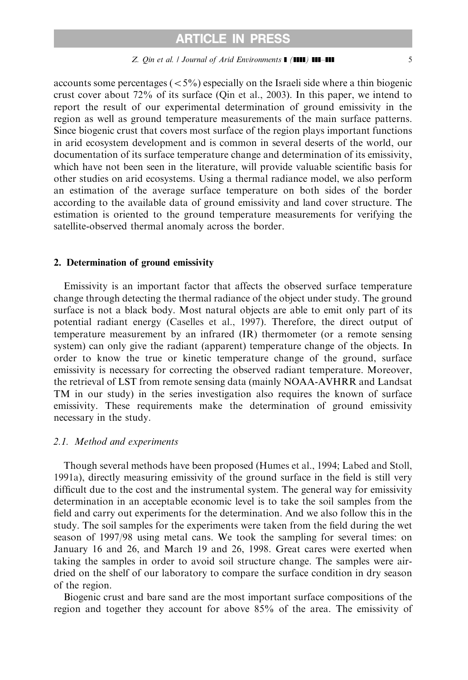#### *Z. Qin et al. | Journal of Arid Environments*  $\blacksquare$  *(* $\blacksquare$ )  $\blacksquare$  $\blacksquare$ ] 5

accounts some percentages  $(<5\%)$  especially on the Israeli side where a thin biogenic crust cover about 72% of its surface (Qin et al., 2003). In this paper, we intend to report the result of our experimental determination of ground emissivity in the region as well as ground temperature measurements of the main surface patterns. Since biogenic crust that covers most surface of the region plays important functions in arid ecosystem development and is common in several deserts of the world, our documentation of its surface temperature change and determination of its emissivity, which have not been seen in the literature, will provide valuable scientific basis for

other studies on arid ecosystems. Using a thermal radiance model, we also perform an estimation of the average surface temperature on both sides of the border according to the available data of ground emissivity and land cover structure. The estimation is oriented to the ground temperature measurements for verifying the satellite-observed thermal anomaly across the border.

### 2. Determination of ground emissivity

Emissivity is an important factor that affects the observed surface temperature change through detecting the thermal radiance of the object under study. The ground surface is not a black body. Most natural objects are able to emit only part of its potential radiant energy (Caselles et al., 1997). Therefore, the direct output of temperature measurement by an infrared (IR) thermometer (or a remote sensing system) can only give the radiant (apparent) temperature change of the objects. In order to know the true or kinetic temperature change of the ground, surface emissivity is necessary for correcting the observed radiant temperature. Moreover, the retrieval of LST from remote sensing data (mainly NOAA-AVHRR and Landsat TM in our study) in the series investigation also requires the known of surface emissivity. These requirements make the determination of ground emissivity necessary in the study.

### *2.1. Method and experiments*

Though several methods have been proposed (Humes et al., 1994; Labed and Stoll, 1991a), directly measuring emissivity of the ground surface in the field is still very difficult due to the cost and the instrumental system. The general way for emissivity determination in an acceptable economic level is to take the soil samples from the field and carry out experiments for the determination. And we also follow this in the study. The soil samples for the experiments were taken from the field during the wet season of 1997/98 using metal cans. We took the sampling for several times: on January 16 and 26, and March 19 and 26, 1998. Great cares were exerted when taking the samples in order to avoid soil structure change. The samples were airdried on the shelf of our laboratory to compare the surface condition in dry season of the region.

Biogenic crust and bare sand are the most important surface compositions of the region and together they account for above 85% of the area. The emissivity of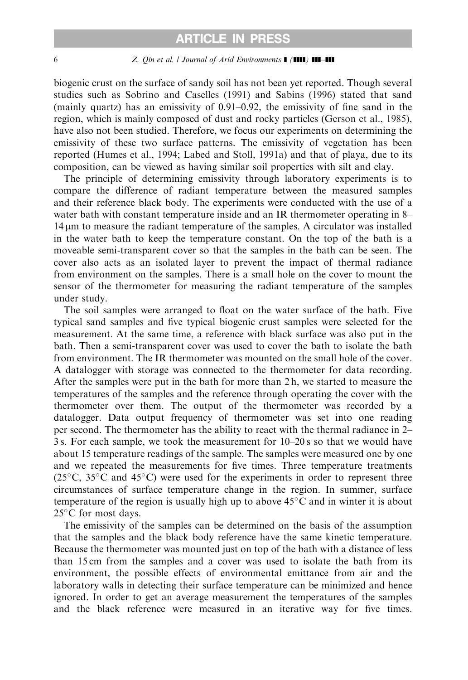### 6 *Z. Qin et al. | Journal of Arid Environments*  $\blacksquare$  (IIII) **III-III**

biogenic crust on the surface of sandy soil has not been yet reported. Though several studies such as Sobrino and Caselles (1991) and Sabins (1996) stated that sand (mainly quartz) has an emissivity of 0.91–0.92, the emissivity of fine sand in the region, which is mainly composed of dust and rocky particles (Gerson et al., 1985), have also not been studied. Therefore, we focus our experiments on determining the emissivity of these two surface patterns. The emissivity of vegetation has been reported (Humes et al., 1994; Labed and Stoll, 1991a) and that of playa, due to its composition, can be viewed as having similar soil properties with silt and clay.

The principle of determining emissivity through laboratory experiments is to compare the difference of radiant temperature between the measured samples and their reference black body. The experiments were conducted with the use of a water bath with constant temperature inside and an IR thermometer operating in 8–  $14 \mu m$  to measure the radiant temperature of the samples. A circulator was installed in the water bath to keep the temperature constant. On the top of the bath is a moveable semi-transparent cover so that the samples in the bath can be seen. The cover also acts as an isolated layer to prevent the impact of thermal radiance from environment on the samples. There is a small hole on the cover to mount the sensor of the thermometer for measuring the radiant temperature of the samples under study.

The soil samples were arranged to float on the water surface of the bath. Five typical sand samples and five typical biogenic crust samples were selected for the measurement. At the same time, a reference with black surface was also put in the bath. Then a semi-transparent cover was used to cover the bath to isolate the bath from environment. The IR thermometer was mounted on the small hole of the cover. A datalogger with storage was connected to the thermometer for data recording. After the samples were put in the bath for more than 2 h, we started to measure the temperatures of the samples and the reference through operating the cover with the thermometer over them. The output of the thermometer was recorded by a datalogger. Data output frequency of thermometer was set into one reading per second. The thermometer has the ability to react with the thermal radiance in 2– 3 s. For each sample, we took the measurement for 10–20 s so that we would have about 15 temperature readings of the sample. The samples were measured one by one and we repeated the measurements for five times. Three temperature treatments ( $25^{\circ}$ C,  $35^{\circ}$ C and  $45^{\circ}$ C) were used for the experiments in order to represent three circumstances of surface temperature change in the region. In summer, surface temperature of the region is usually high up to above  $45^{\circ}$ C and in winter it is about  $25^{\circ}$ C for most days.

The emissivity of the samples can be determined on the basis of the assumption that the samples and the black body reference have the same kinetic temperature. Because the thermometer was mounted just on top of the bath with a distance of less than 15 cm from the samples and a cover was used to isolate the bath from its environment, the possible effects of environmental emittance from air and the laboratory walls in detecting their surface temperature can be minimized and hence ignored. In order to get an average measurement the temperatures of the samples and the black reference were measured in an iterative way for five times.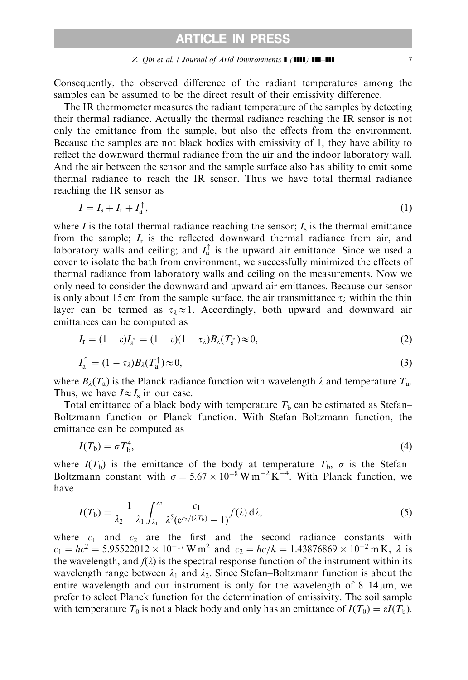*Z. Qin et al. | Journal of Arid Environments*  $\blacksquare$  *(* $\blacksquare$ )  $\blacksquare$  $\blacksquare$ ] 7

Consequently, the observed difference of the radiant temperatures among the samples can be assumed to be the direct result of their emissivity difference.

The IR thermometer measures the radiant temperature of the samples by detecting their thermal radiance. Actually the thermal radiance reaching the IR sensor is not only the emittance from the sample, but also the effects from the environment. Because the samples are not black bodies with emissivity of 1, they have ability to reflect the downward thermal radiance from the air and the indoor laboratory wall. And the air between the sensor and the sample surface also has ability to emit some thermal radiance to reach the IR sensor. Thus we have total thermal radiance reaching the IR sensor as

$$
I = I_{s} + I_{r} + I_{a}^{\dagger}, \tag{1}
$$

where  $I$  is the total thermal radiance reaching the sensor;  $I_s$  is the thermal emittance from the sample; *I*<sup>r</sup> is the reflected downward thermal radiance from air, and laboratory walls and ceiling; and  $I_a^{\uparrow}$  is the upward air emittance. Since we used a cover to isolate the bath from environment, we successfully minimized the effects of thermal radiance from laboratory walls and ceiling on the measurements. Now we only need to consider the downward and upward air emittances. Because our sensor is only about 15 cm from the sample surface, the air transmittance  $\tau_i$  within the thin layer can be termed as  $\tau_{\lambda} \approx 1$ . Accordingly, both upward and downward air emittances can be computed as

$$
I_{\rm r} = (1 - \varepsilon)I_{\rm a}^{\downarrow} = (1 - \varepsilon)(1 - \tau_{\lambda})B_{\lambda}(T_{\rm a}^{\downarrow}) \approx 0, \tag{2}
$$

$$
I_a^{\uparrow} = (1 - \tau_\lambda) B_\lambda(T_a^{\uparrow}) \approx 0, \tag{3}
$$

where  $B_\lambda(T_a)$  is the Planck radiance function with wavelength  $\lambda$  and temperature  $T_a$ . Thus, we have  $I \approx I_s$  in our case.

Total emittance of a black body with temperature  $T<sub>b</sub>$  can be estimated as Stefan– Boltzmann function or Planck function. With Stefan–Boltzmann function, the emittance can be computed as

$$
I(T_{\rm b}) = \sigma T_{\rm b}^4,\tag{4}
$$

where  $I(T_b)$  is the emittance of the body at temperature  $T_b$ ,  $\sigma$  is the Stefan– Boltzmann constant with  $\sigma = 5.67 \times 10^{-8} \,\mathrm{W m^{-2} K^{-4}}$ . With Planck function, we have

$$
I(T_{\rm b}) = \frac{1}{\lambda_2 - \lambda_1} \int_{\lambda_1}^{\lambda_2} \frac{c_1}{\lambda^5 (e^{c_2/(\lambda T_{\rm b})} - 1)} f(\lambda) d\lambda,
$$
 (5)

where  $c_1$  and  $c_2$  are the first and the second radiance constants with  $c_1 = hc^2 = 5.95522012 \times 10^{-17}$  W m<sup>2</sup> and  $c_2 = hc/k = 1.43876869 \times 10^{-2}$  m K,  $\lambda$  is the wavelength, and  $f(\lambda)$  is the spectral response function of the instrument within its wavelength range between  $\lambda_1$  and  $\lambda_2$ . Since Stefan–Boltzmann function is about the entire wavelength and our instrument is only for the wavelength of  $8-14 \,\mu m$ , we prefer to select Planck function for the determination of emissivity. The soil sample with temperature  $T_0$  is not a black body and only has an emittance of  $I(T_0) = \varepsilon I(T_b)$ .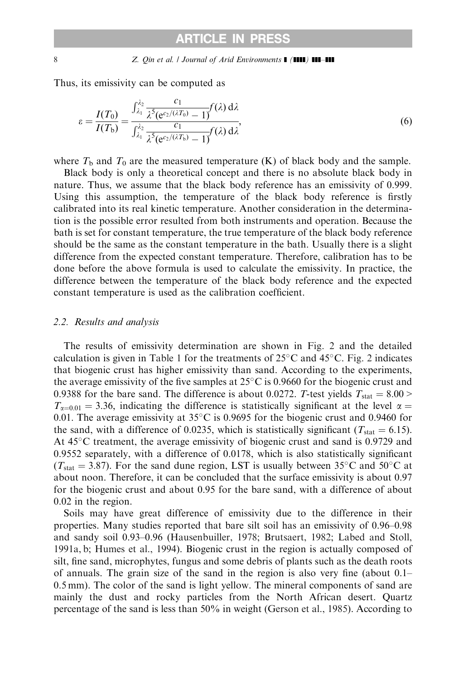8 *Z. Qin et al. | Journal of Arid Environments*  $\blacksquare$  *(* $\blacksquare$ )  $\blacksquare$ 

Thus, its emissivity can be computed as

$$
\varepsilon = \frac{I(T_0)}{I(T_b)} = \frac{\int_{\lambda_1}^{\lambda_2} \frac{c_1}{\lambda^5 (e^{c_2/(2T_0)} - 1)} f(\lambda) d\lambda}{\int_{\lambda_1}^{\lambda_2} \frac{c_1}{\lambda^5 (e^{c_2/(2T_b)} - 1)} f(\lambda) d\lambda},
$$
(6)

where  $T_b$  and  $T_0$  are the measured temperature (K) of black body and the sample.

Black body is only a theoretical concept and there is no absolute black body in nature. Thus, we assume that the black body reference has an emissivity of 0.999. Using this assumption, the temperature of the black body reference is firstly calibrated into its real kinetic temperature. Another consideration in the determination is the possible error resulted from both instruments and operation. Because the bath is set for constant temperature, the true temperature of the black body reference should be the same as the constant temperature in the bath. Usually there is a slight difference from the expected constant temperature. Therefore, calibration has to be done before the above formula is used to calculate the emissivity. In practice, the difference between the temperature of the black body reference and the expected constant temperature is used as the calibration coefficient.

### *2.2. Results and analysis*

The results of emissivity determination are shown in Fig. 2 and the detailed calculation is given in Table 1 for the treatments of  $25^{\circ}$ C and  $45^{\circ}$ C. Fig. 2 indicates that biogenic crust has higher emissivity than sand. According to the experiments, the average emissivity of the five samples at  $25^{\circ}$ C is 0.9660 for the biogenic crust and 0.9388 for the bare sand. The difference is about 0.0272. *T*-test yields  $T_{\text{stat}} = 8.00$  >  $T_{\alpha=0.01} = 3.36$ , indicating the difference is statistically significant at the level  $\alpha =$ 0.01. The average emissivity at  $35^{\circ}$ C is 0.9695 for the biogenic crust and 0.9460 for the sand, with a difference of 0.0235, which is statistically significant ( $T_{\text{stat}} = 6.15$ ). At  $45^{\circ}$ C treatment, the average emissivity of biogenic crust and sand is 0.9729 and 0.9552 separately, with a difference of 0.0178, which is also statistically significant ( $T_{\text{stat}} = 3.87$ ). For the sand dune region, LST is usually between 35<sup>o</sup>C and 50<sup>o</sup>C at about noon. Therefore, it can be concluded that the surface emissivity is about 0.97 for the biogenic crust and about 0.95 for the bare sand, with a difference of about 0.02 in the region.

Soils may have great difference of emissivity due to the difference in their properties. Many studies reported that bare silt soil has an emissivity of 0.96–0.98 and sandy soil 0.93–0.96 (Hausenbuiller, 1978; Brutsaert, 1982; Labed and Stoll, 1991a, b; Humes et al., 1994). Biogenic crust in the region is actually composed of silt, fine sand, microphytes, fungus and some debris of plants such as the death roots of annuals. The grain size of the sand in the region is also very fine (about 0.1– 0.5 mm). The color of the sand is light yellow. The mineral components of sand are mainly the dust and rocky particles from the North African desert. Quartz percentage of the sand is less than 50% in weight (Gerson et al., 1985). According to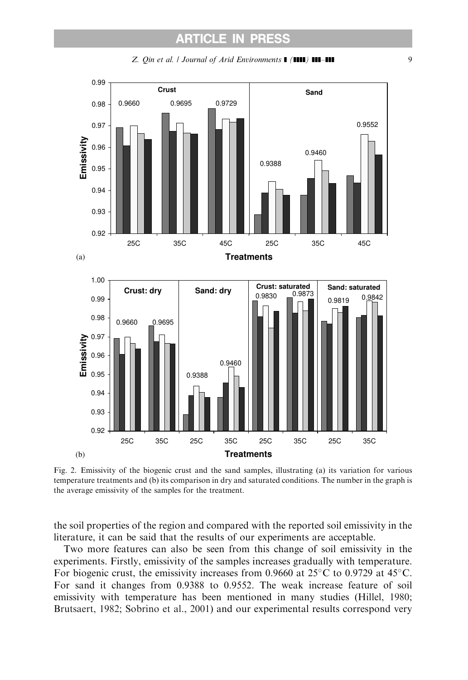

*Z. Qin et al. | Journal of Arid Environments*  $\blacksquare$  *(IIII)*  $\blacksquare$ 

Fig. 2. Emissivity of the biogenic crust and the sand samples, illustrating (a) its variation for various temperature treatments and (b) its comparison in dry and saturated conditions. The number in the graph is the average emissivity of the samples for the treatment.

the soil properties of the region and compared with the reported soil emissivity in the literature, it can be said that the results of our experiments are acceptable.

Two more features can also be seen from this change of soil emissivity in the experiments. Firstly, emissivity of the samples increases gradually with temperature. For biogenic crust, the emissivity increases from 0.9660 at  $25^{\circ}$ C to 0.9729 at 45<sup>°</sup>C. For sand it changes from 0.9388 to 0.9552. The weak increase feature of soil emissivity with temperature has been mentioned in many studies (Hillel, 1980; Brutsaert, 1982; Sobrino et al., 2001) and our experimental results correspond very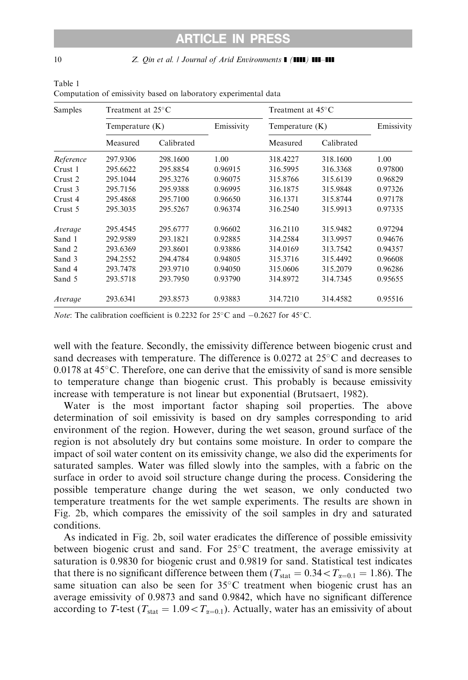#### 10 *Z. Qin et al. | Journal of Arid Environments*  $\blacksquare$  *(* $\blacksquare$ )  $\blacksquare$

| Samples   | Treatment at $25^{\circ}$ C |            |            | Treatment at $45^{\circ}$ C |            |         |  |
|-----------|-----------------------------|------------|------------|-----------------------------|------------|---------|--|
|           | Temperature $(K)$           |            | Emissivity | Temperature $(K)$           | Emissivity |         |  |
|           | Measured                    | Calibrated |            | Measured                    | Calibrated |         |  |
| Reference | 297.9306                    | 298.1600   | 1.00       | 318.4227                    | 318.1600   | 1.00    |  |
| Crust 1   | 295.6622                    | 295.8854   | 0.96915    | 316.5995                    | 316.3368   | 0.97800 |  |
| Crust 2   | 295.1044                    | 295.3276   | 0.96075    | 315.8766                    | 315.6139   | 0.96829 |  |
| Crust 3   | 295.7156                    | 295.9388   | 0.96995    | 316.1875                    | 315.9848   | 0.97326 |  |
| Crust 4   | 295.4868                    | 295.7100   | 0.96650    | 316.1371                    | 315.8744   | 0.97178 |  |
| Crust 5   | 295.3035                    | 295.5267   | 0.96374    | 316.2540                    | 315.9913   | 0.97335 |  |
| Average   | 295.4545                    | 295.6777   | 0.96602    | 316.2110                    | 315.9482   | 0.97294 |  |
| Sand 1    | 292.9589                    | 293.1821   | 0.92885    | 314.2584                    | 313.9957   | 0.94676 |  |
| Sand 2    | 293.6369                    | 293.8601   | 0.93886    | 314.0169                    | 313.7542   | 0.94357 |  |
| Sand 3    | 294.2552                    | 294.4784   | 0.94805    | 315.3716                    | 315.4492   | 0.96608 |  |
| Sand 4    | 293.7478                    | 293.9710   | 0.94050    | 315.0606                    | 315.2079   | 0.96286 |  |
| Sand 5    | 293.5718                    | 293.7950   | 0.93790    | 314.8972                    | 314.7345   | 0.95655 |  |
| Average   | 293.6341                    | 293.8573   | 0.93883    | 314.7210                    | 314.4582   | 0.95516 |  |

Table 1 Computation of emissivity based on laboratory experimental data

*Note*: The calibration coefficient is 0.2232 for  $25^{\circ}$ C and  $-0.2627$  for  $45^{\circ}$ C.

well with the feature. Secondly, the emissivity difference between biogenic crust and sand decreases with temperature. The difference is  $0.0272$  at  $25^{\circ}$ C and decreases to  $0.0178$  at  $45^{\circ}$ C. Therefore, one can derive that the emissivity of sand is more sensible to temperature change than biogenic crust. This probably is because emissivity increase with temperature is not linear but exponential (Brutsaert, 1982).

Water is the most important factor shaping soil properties. The above determination of soil emissivity is based on dry samples corresponding to arid environment of the region. However, during the wet season, ground surface of the region is not absolutely dry but contains some moisture. In order to compare the impact of soil water content on its emissivity change, we also did the experiments for saturated samples. Water was filled slowly into the samples, with a fabric on the surface in order to avoid soil structure change during the process. Considering the possible temperature change during the wet season, we only conducted two temperature treatments for the wet sample experiments. The results are shown in Fig. 2b, which compares the emissivity of the soil samples in dry and saturated conditions.

As indicated in Fig. 2b, soil water eradicates the difference of possible emissivity between biogenic crust and sand. For  $25^{\circ}$ C treatment, the average emissivity at saturation is 0.9830 for biogenic crust and 0.9819 for sand. Statistical test indicates that there is no significant difference between them ( $T_{\text{stat}} = 0.34 \langle T_{\text{z=0}} \rangle$ , 1:1 = 1.86). The same situation can also be seen for  $35^{\circ}$ C treatment when biogenic crust has an average emissivity of 0.9873 and sand 0.9842, which have no significant difference according to *T*-test ( $T_{\text{stat}} = 1.09 < T_{\alpha=0.1}$ ). Actually, water has an emissivity of about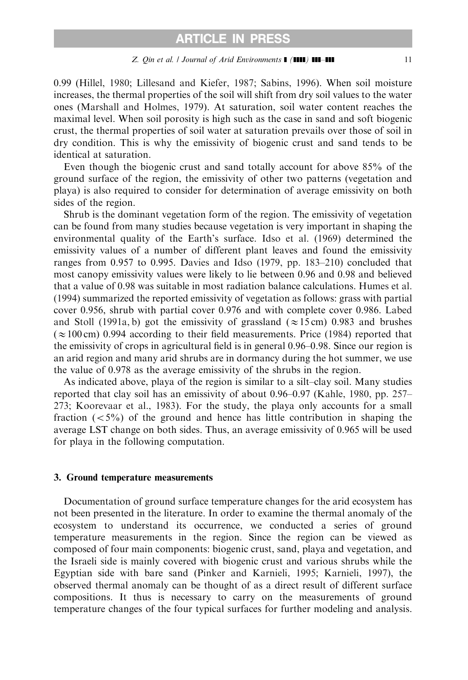0.99 (Hillel, 1980; Lillesand and Kiefer, 1987; Sabins, 1996). When soil moisture increases, the thermal properties of the soil will shift from dry soil values to the water ones (Marshall and Holmes, 1979). At saturation, soil water content reaches the maximal level. When soil porosity is high such as the case in sand and soft biogenic crust, the thermal properties of soil water at saturation prevails over those of soil in dry condition. This is why the emissivity of biogenic crust and sand tends to be identical at saturation.

Even though the biogenic crust and sand totally account for above 85% of the ground surface of the region, the emissivity of other two patterns (vegetation and playa) is also required to consider for determination of average emissivity on both sides of the region.

Shrub is the dominant vegetation form of the region. The emissivity of vegetation can be found from many studies because vegetation is very important in shaping the environmental quality of the Earth's surface. Idso et al. (1969) determined the emissivity values of a number of different plant leaves and found the emissivity ranges from 0.957 to 0.995. Davies and Idso (1979, pp. 183–210) concluded that most canopy emissivity values were likely to lie between 0.96 and 0.98 and believed that a value of 0.98 was suitable in most radiation balance calculations. Humes et al. (1994) summarized the reported emissivity of vegetation as follows: grass with partial cover 0.956, shrub with partial cover 0.976 and with complete cover 0.986. Labed and Stoll (1991a, b) got the emissivity of grassland ( $\approx$  15 cm) 0.983 and brushes  $(z100 \text{ cm})$  0.994 according to their field measurements. Price (1984) reported that the emissivity of crops in agricultural field is in general 0.96–0.98. Since our region is an arid region and many arid shrubs are in dormancy during the hot summer, we use the value of 0.978 as the average emissivity of the shrubs in the region.

As indicated above, playa of the region is similar to a silt–clay soil. Many studies reported that clay soil has an emissivity of about 0.96–0.97 (Kahle, 1980, pp. 257– 273; Koorevaar et al., 1983). For the study, the playa only accounts for a small fraction  $(<5\%)$  of the ground and hence has little contribution in shaping the average LST change on both sides. Thus, an average emissivity of 0.965 will be used for playa in the following computation.

### 3. Ground temperature measurements

Documentation of ground surface temperature changes for the arid ecosystem has not been presented in the literature. In order to examine the thermal anomaly of the ecosystem to understand its occurrence, we conducted a series of ground temperature measurements in the region. Since the region can be viewed as composed of four main components: biogenic crust, sand, playa and vegetation, and the Israeli side is mainly covered with biogenic crust and various shrubs while the Egyptian side with bare sand (Pinker and Karnieli, 1995; Karnieli, 1997), the observed thermal anomaly can be thought of as a direct result of different surface compositions. It thus is necessary to carry on the measurements of ground temperature changes of the four typical surfaces for further modeling and analysis.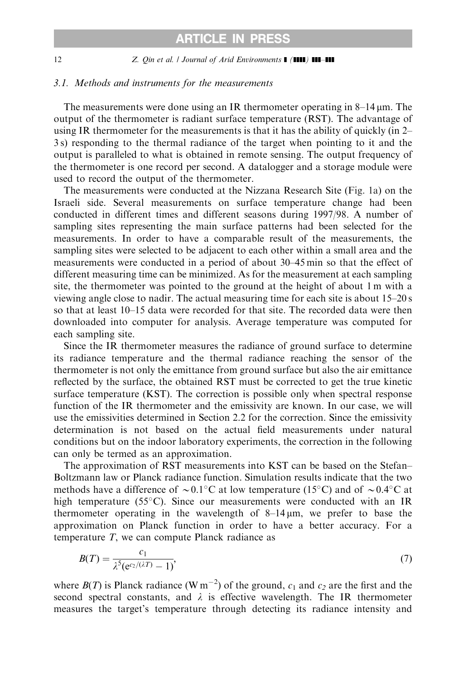12 *Z. Qin et al. | Journal of Arid Environments*  $\blacksquare$  *(* $\blacksquare$ )  $\blacksquare$ 

### *3.1. Methods and instruments for the measurements*

The measurements were done using an IR thermometer operating in  $8-14 \mu m$ . The output of the thermometer is radiant surface temperature (RST). The advantage of using IR thermometer for the measurements is that it has the ability of quickly (in 2– 3 s) responding to the thermal radiance of the target when pointing to it and the output is paralleled to what is obtained in remote sensing. The output frequency of the thermometer is one record per second. A datalogger and a storage module were used to record the output of the thermometer.

The measurements were conducted at the Nizzana Research Site (Fig. 1a) on the Israeli side. Several measurements on surface temperature change had been conducted in different times and different seasons during 1997/98. A number of sampling sites representing the main surface patterns had been selected for the measurements. In order to have a comparable result of the measurements, the sampling sites were selected to be adjacent to each other within a small area and the measurements were conducted in a period of about 30–45 min so that the effect of different measuring time can be minimized. As for the measurement at each sampling site, the thermometer was pointed to the ground at the height of about 1 m with a viewing angle close to nadir. The actual measuring time for each site is about 15–20 s so that at least 10–15 data were recorded for that site. The recorded data were then downloaded into computer for analysis. Average temperature was computed for each sampling site.

Since the IR thermometer measures the radiance of ground surface to determine its radiance temperature and the thermal radiance reaching the sensor of the thermometer is not only the emittance from ground surface but also the air emittance reflected by the surface, the obtained RST must be corrected to get the true kinetic surface temperature (KST). The correction is possible only when spectral response function of the IR thermometer and the emissivity are known. In our case, we will use the emissivities determined in Section 2.2 for the correction. Since the emissivity determination is not based on the actual field measurements under natural conditions but on the indoor laboratory experiments, the correction in the following can only be termed as an approximation.

The approximation of RST measurements into KST can be based on the Stefan– Boltzmann law or Planck radiance function. Simulation results indicate that the two methods have a difference of  $\sim 0.1^{\circ}$ C at low temperature (15<sup>o</sup>C) and of  $\sim 0.4^{\circ}$ C at high temperature ( $55^{\circ}$ C). Since our measurements were conducted with an IR thermometer operating in the wavelength of  $8-14 \mu m$ , we prefer to base the approximation on Planck function in order to have a better accuracy. For a temperature *T*, we can compute Planck radiance as

$$
B(T) = \frac{c_1}{\lambda^5 (e^{c_2/(\lambda T)} - 1)},
$$
\n(7)

where  $B(T)$  is Planck radiance (W m<sup>-2</sup>) of the ground,  $c_1$  and  $c_2$  are the first and the second spectral constants, and  $\lambda$  is effective wavelength. The IR thermometer measures the target's temperature through detecting its radiance intensity and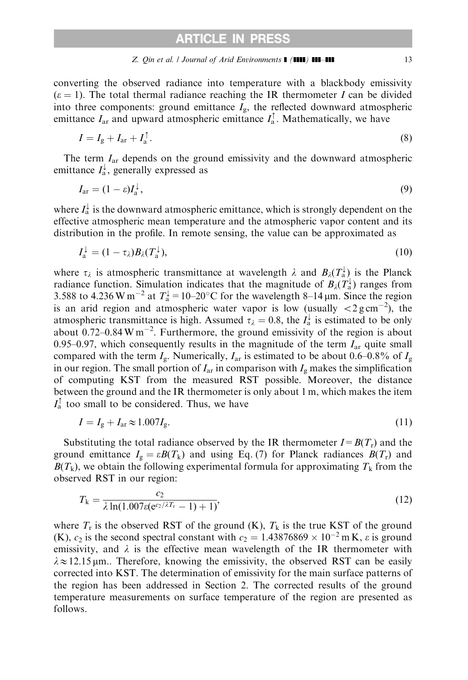converting the observed radiance into temperature with a blackbody emissivity  $(\varepsilon = 1)$ . The total thermal radiance reaching the IR thermometer *I* can be divided into three components: ground emittance  $I_g$ , the reflected downward atmospheric emittance  $I_{\text{ar}}$  and upward atmospheric emittance  $I_{\text{a}}^{\uparrow}$ . Mathematically, we have

$$
I = I_{g} + I_{ar} + I_{a}^{\dagger}.
$$
\n<sup>(8)</sup>

The term *I*ar depends on the ground emissivity and the downward atmospheric emittance  $I_a^{\downarrow}$ , generally expressed as

$$
I_{\rm ar} = (1 - \varepsilon)I_{\rm a}^{\downarrow},\tag{9}
$$

where  $I_a^{\downarrow}$  is the downward atmospheric emittance, which is strongly dependent on the effective atmospheric mean temperature and the atmospheric vapor content and its distribution in the profile. In remote sensing, the value can be approximated as

$$
I_{\mathbf{a}}^{\downarrow} = (1 - \tau_{\lambda}) B_{\lambda} (T_{\mathbf{a}}^{\downarrow}), \tag{10}
$$

where  $\tau_{\lambda}$  is atmospheric transmittance at wavelength  $\lambda$  and  $B_{\lambda}(T_a^{\downarrow})$  is the Planck radiance function. Simulation indicates that the magnitude of  $B_\lambda(T_a^{\downarrow})$  ranges from 3.588 to 4.236 W m<sup>-2</sup> at  $T_a^{\downarrow} = 10-20$ °C for the wavelength 8–14  $\mu$ m. Since the region is an arid region and atmospheric water vapor is low (usually  $\langle 2 \text{ g cm}^{-2} \rangle$ , the atmospheric transmittance is high. Assumed  $\tau_{\lambda} = 0.8$ , the  $I_a^{\downarrow}$  is estimated to be only about  $0.72-0.84$  W m<sup>-2</sup>. Furthermore, the ground emissivity of the region is about 0.95–0.97, which consequently results in the magnitude of the term *I*ar quite small compared with the term  $I_g$ . Numerically,  $I_{ar}$  is estimated to be about 0.6–0.8% of  $I_g$ in our region. The small portion of  $I_{ar}$  in comparison with  $I_g$  makes the simplification of computing KST from the measured RST possible. Moreover, the distance between the ground and the IR thermometer is only about 1 m, which makes the item  $I_a^{\uparrow}$  too small to be considered. Thus, we have

$$
I = Ig + Iar \approx 1.007 Ig.
$$
\n(11)

Substituting the total radiance observed by the IR thermometer  $I = B(T_r)$  and the ground emittance  $I_g = \varepsilon B(T_k)$  and using Eq. (7) for Planck radiances  $B(T_r)$  and  $B(T_k)$ , we obtain the following experimental formula for approximating  $T_k$  from the observed RST in our region:

$$
T_{k} = \frac{c_{2}}{\lambda \ln(1.007 \varepsilon (e^{c_{2}/\lambda T_{r}} - 1) + 1)},
$$
\n(12)

where  $T_r$  is the observed RST of the ground (K),  $T_k$  is the true KST of the ground (K),  $c_2$  is the second spectral constant with  $c_2 = 1.43876869 \times 10^{-2}$  m K,  $\varepsilon$  is ground emissivity, and  $\lambda$  is the effective mean wavelength of the IR thermometer with  $\lambda \approx 12.15 \,\mu$ m.. Therefore, knowing the emissivity, the observed RST can be easily corrected into KST. The determination of emissivity for the main surface patterns of the region has been addressed in Section 2. The corrected results of the ground temperature measurements on surface temperature of the region are presented as follows.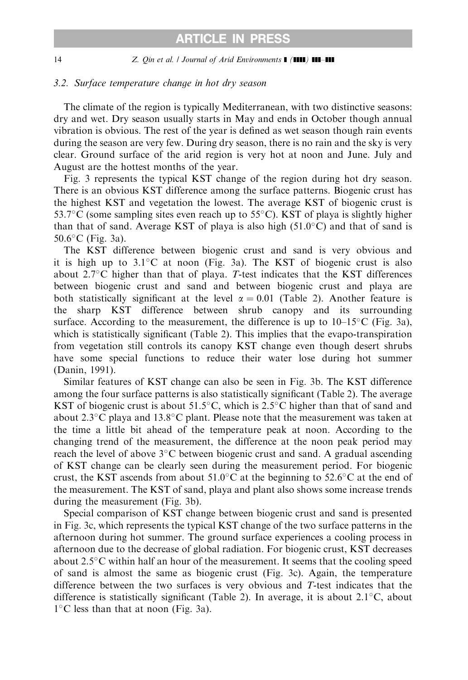14 *Z. Qin et al. / Journal of Arid Environments*  $\blacksquare$  (IIII) **111-111** 

### *3.2. Surface temperature change in hot dry season*

The climate of the region is typically Mediterranean, with two distinctive seasons: dry and wet. Dry season usually starts in May and ends in October though annual vibration is obvious. The rest of the year is defined as wet season though rain events during the season are very few. During dry season, there is no rain and the sky is very clear. Ground surface of the arid region is very hot at noon and June. July and August are the hottest months of the year.

Fig. 3 represents the typical KST change of the region during hot dry season. There is an obvious KST difference among the surface patterns. Biogenic crust has the highest KST and vegetation the lowest. The average KST of biogenic crust is 53.7°C (some sampling sites even reach up to 55°C). KST of playa is slightly higher than that of sand. Average KST of playa is also high  $(51.0^{\circ}C)$  and that of sand is  $50.6^{\circ}$ C (Fig. 3a).

The KST difference between biogenic crust and sand is very obvious and it is high up to  $3.1^{\circ}$ C at noon (Fig. 3a). The KST of biogenic crust is also about 2.7C higher than that of playa. *T*-test indicates that the KST differences between biogenic crust and sand and between biogenic crust and playa are both statistically significant at the level  $\alpha = 0.01$  (Table 2). Another feature is the sharp KST difference between shrub canopy and its surrounding surface. According to the measurement, the difference is up to  $10-15^{\circ}$ C (Fig. 3a), which is statistically significant (Table 2). This implies that the evapo-transpiration from vegetation still controls its canopy KST change even though desert shrubs have some special functions to reduce their water lose during hot summer (Danin, 1991).

Similar features of KST change can also be seen in Fig. 3b. The KST difference among the four surface patterns is also statistically significant (Table 2). The average KST of biogenic crust is about 51.5°C, which is  $2.5^{\circ}$ C higher than that of sand and about 2.3 $\degree$ C playa and 13.8 $\degree$ C plant. Please note that the measurement was taken at the time a little bit ahead of the temperature peak at noon. According to the changing trend of the measurement, the difference at the noon peak period may reach the level of above  $3^{\circ}$ C between biogenic crust and sand. A gradual ascending of KST change can be clearly seen during the measurement period. For biogenic crust, the KST ascends from about  $51.0^{\circ}$ C at the beginning to  $52.6^{\circ}$ C at the end of the measurement. The KST of sand, playa and plant also shows some increase trends during the measurement (Fig. 3b).

Special comparison of KST change between biogenic crust and sand is presented in Fig. 3c, which represents the typical KST change of the two surface patterns in the afternoon during hot summer. The ground surface experiences a cooling process in afternoon due to the decrease of global radiation. For biogenic crust, KST decreases about 2.5 $\degree$ C within half an hour of the measurement. It seems that the cooling speed of sand is almost the same as biogenic crust (Fig. 3c). Again, the temperature difference between the two surfaces is very obvious and *T*-test indicates that the difference is statistically significant (Table 2). In average, it is about  $2.1^{\circ}$ C, about 1 C less than that at noon (Fig. 3a).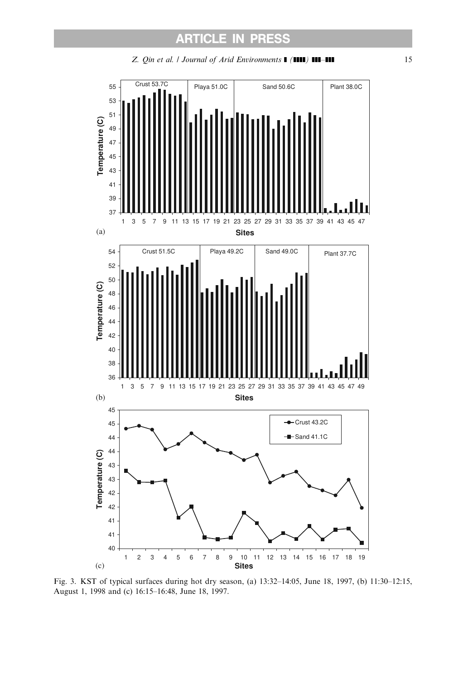



Fig. 3. KST of typical surfaces during hot dry season, (a) 13:32–14:05, June 18, 1997, (b) 11:30–12:15, August 1, 1998 and (c) 16:15–16:48, June 18, 1997.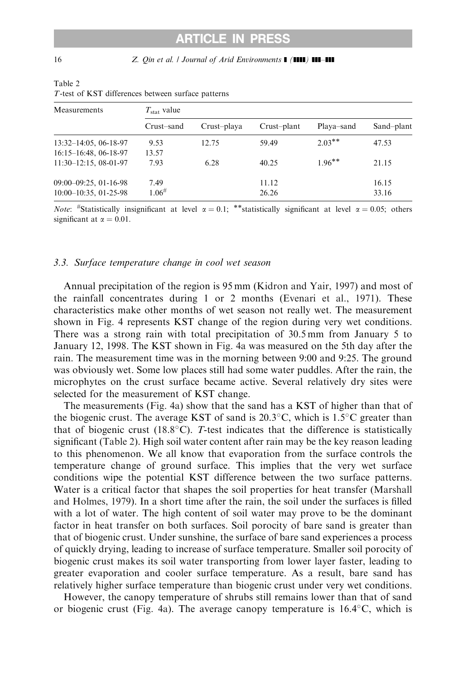16 *Z. Qin et al. | Journal of Arid Environments*  $\blacksquare$  *(* $\blacksquare$ )  $\blacksquare$ 

| Measurements             | $T_{\text{stat}}$ value |             |             |            |            |  |  |
|--------------------------|-------------------------|-------------|-------------|------------|------------|--|--|
|                          | Crust-sand              | Crust-playa | Crust-plant | Playa-sand | Sand-plant |  |  |
| $13:32-14:05$ , 06-18-97 | 9.53                    | 12.75       | 59.49       | $2.03***$  | 47.53      |  |  |
| $16:15-16:48$ , 06-18-97 | 13.57                   |             |             |            |            |  |  |
| $11:30-12:15$ , 08-01-97 | 7.93                    | 6.28        | 40.25       | $1.96***$  | 21.15      |  |  |
| $09:00-09:25, 01-16-98$  | 7.49                    |             | 11.12       |            | 16.15      |  |  |
| $10:00-10:35$ , 01-25-98 | $1.06^{#}$              |             | 26.26       |            | 33.16      |  |  |

Table 2 *T*-test of KST differences between surface patterns

*Note*: <sup>#</sup>Statistically insignificant at level  $\alpha = 0.1$ ; \*\*statistically significant at level  $\alpha = 0.05$ ; others significant at  $\alpha = 0.01$ .

### *3.3. Surface temperature change in cool wet season*

Annual precipitation of the region is 95 mm (Kidron and Yair, 1997) and most of the rainfall concentrates during 1 or 2 months (Evenari et al., 1971). These characteristics make other months of wet season not really wet. The measurement shown in Fig. 4 represents KST change of the region during very wet conditions. There was a strong rain with total precipitation of 30.5 mm from January 5 to January 12, 1998. The KST shown in Fig. 4a was measured on the 5th day after the rain. The measurement time was in the morning between 9:00 and 9:25. The ground was obviously wet. Some low places still had some water puddles. After the rain, the microphytes on the crust surface became active. Several relatively dry sites were selected for the measurement of KST change.

The measurements (Fig. 4a) show that the sand has a KST of higher than that of the biogenic crust. The average KST of sand is  $20.3^{\circ}$ C, which is  $1.5^{\circ}$ C greater than that of biogenic crust (18.8 $^{\circ}$ C). *T*-test indicates that the difference is statistically significant (Table 2). High soil water content after rain may be the key reason leading to this phenomenon. We all know that evaporation from the surface controls the temperature change of ground surface. This implies that the very wet surface conditions wipe the potential KST difference between the two surface patterns. Water is a critical factor that shapes the soil properties for heat transfer (Marshall and Holmes, 1979). In a short time after the rain, the soil under the surfaces is filled with a lot of water. The high content of soil water may prove to be the dominant factor in heat transfer on both surfaces. Soil porocity of bare sand is greater than that of biogenic crust. Under sunshine, the surface of bare sand experiences a process of quickly drying, leading to increase of surface temperature. Smaller soil porocity of biogenic crust makes its soil water transporting from lower layer faster, leading to greater evaporation and cooler surface temperature. As a result, bare sand has relatively higher surface temperature than biogenic crust under very wet conditions.

However, the canopy temperature of shrubs still remains lower than that of sand or biogenic crust (Fig. 4a). The average canopy temperature is  $16.4^{\circ}$ C, which is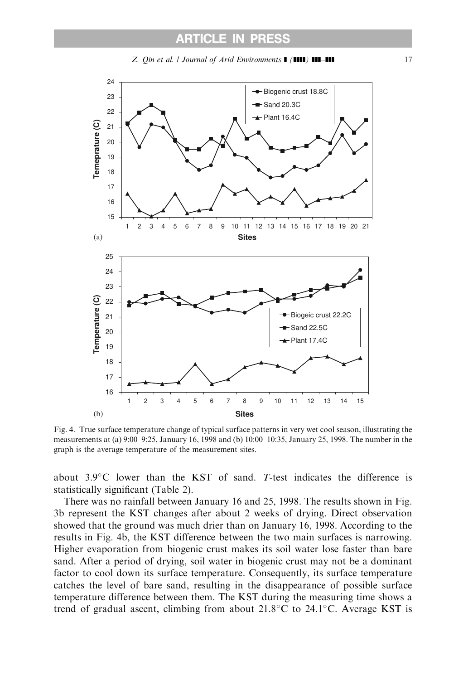



Fig. 4. True surface temperature change of typical surface patterns in very wet cool season, illustrating the measurements at (a) 9:00–9:25, January 16, 1998 and (b) 10:00–10:35, January 25, 1998. The number in the graph is the average temperature of the measurement sites.

about 3.9C lower than the KST of sand. *T*-test indicates the difference is statistically significant (Table 2).

There was no rainfall between January 16 and 25, 1998. The results shown in Fig. 3b represent the KST changes after about 2 weeks of drying. Direct observation showed that the ground was much drier than on January 16, 1998. According to the results in Fig. 4b, the KST difference between the two main surfaces is narrowing. Higher evaporation from biogenic crust makes its soil water lose faster than bare sand. After a period of drying, soil water in biogenic crust may not be a dominant factor to cool down its surface temperature. Consequently, its surface temperature catches the level of bare sand, resulting in the disappearance of possible surface temperature difference between them. The KST during the measuring time shows a trend of gradual ascent, climbing from about  $21.8^{\circ}$ C to  $24.1^{\circ}$ C. Average KST is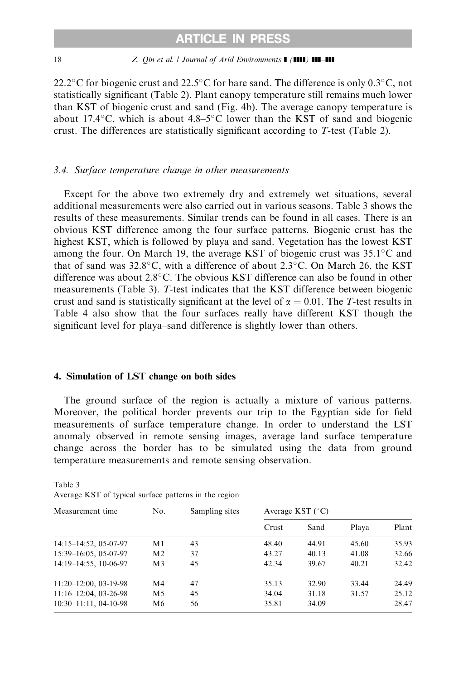18 *Z. Qin et al. | Journal of Arid Environments*  $\blacksquare$  *(* $\blacksquare$ )  $\blacksquare$ 

22.2<sup>o</sup>C for biogenic crust and 22.5<sup>o</sup>C for bare sand. The difference is only  $0.3^{\circ}$ C, not statistically significant (Table 2). Plant canopy temperature still remains much lower than KST of biogenic crust and sand (Fig. 4b). The average canopy temperature is about 17.4 $\degree$ C, which is about 4.8–5 $\degree$ C lower than the KST of sand and biogenic crust. The differences are statistically significant according to *T*-test (Table 2).

### *3.4. Surface temperature change in other measurements*

Except for the above two extremely dry and extremely wet situations, several additional measurements were also carried out in various seasons. Table 3 shows the results of these measurements. Similar trends can be found in all cases. There is an obvious KST difference among the four surface patterns. Biogenic crust has the highest KST, which is followed by playa and sand. Vegetation has the lowest KST among the four. On March 19, the average KST of biogenic crust was  $35.1^{\circ}$ C and that of sand was  $32.8^{\circ}$ C, with a difference of about  $2.3^{\circ}$ C. On March 26, the KST difference was about  $2.8^{\circ}$ C. The obvious KST difference can also be found in other measurements (Table 3). *T*-test indicates that the KST difference between biogenic crust and sand is statistically significant at the level of  $\alpha = 0.01$ . The *T*-test results in Table 4 also show that the four surfaces really have different KST though the significant level for playa–sand difference is slightly lower than others.

### 4. Simulation of LST change on both sides

The ground surface of the region is actually a mixture of various patterns. Moreover, the political border prevents our trip to the Egyptian side for field measurements of surface temperature change. In order to understand the LST anomaly observed in remote sensing images, average land surface temperature change across the border has to be simulated using the data from ground temperature measurements and remote sensing observation.

| Measurement time         | No.            | Sampling sites |       | Average KST $(^{\circ}C)$ |       |       |  |
|--------------------------|----------------|----------------|-------|---------------------------|-------|-------|--|
|                          |                |                | Crust | Sand                      | Playa | Plant |  |
| $14:15-14:52$ , 05-07-97 | M1             | 43             | 48.40 | 44.91                     | 45.60 | 35.93 |  |
| 15:39-16:05, 05-07-97    | M <sub>2</sub> | 37             | 43.27 | 40.13                     | 41.08 | 32.66 |  |
| 14:19-14:55, 10-06-97    | M3             | 45             | 42.34 | 39.67                     | 40.21 | 32.42 |  |
| $11:20-12:00$ , 03-19-98 | M4             | 47             | 35.13 | 32.90                     | 33.44 | 24.49 |  |
| $11:16-12:04$ , 03-26-98 | M5             | 45             | 34.04 | 31.18                     | 31.57 | 25.12 |  |
| $10:30-11:11$ , 04-10-98 | M6             | 56             | 35.81 | 34.09                     |       | 28.47 |  |

Average KST of typical surface patterns in the region

Table 3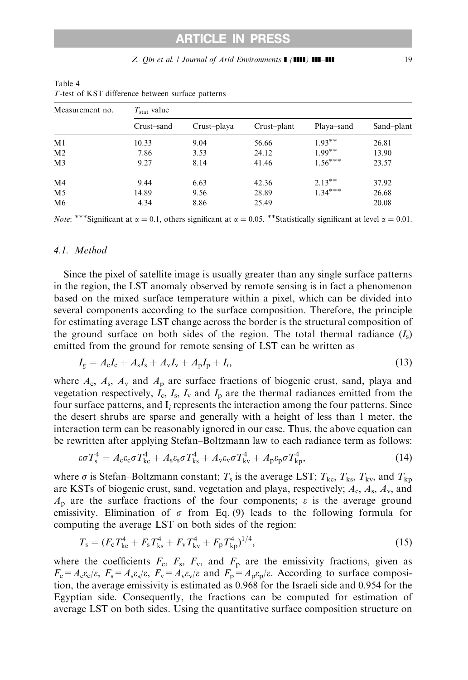| Measurement no. | $T_{\text{stat}}$ value |             |             |            |            |  |  |
|-----------------|-------------------------|-------------|-------------|------------|------------|--|--|
|                 | Crust-sand              | Crust-playa | Crust-plant | Playa-sand | Sand-plant |  |  |
| M1              | 10.33                   | 9.04        | 56.66       | $1.93**$   | 26.81      |  |  |
| M <sub>2</sub>  | 7.86                    | 3.53        | 24.12       | $1.99**$   | 13.90      |  |  |
| M <sub>3</sub>  | 9.27                    | 8.14        | 41.46       | $1.56***$  | 23.57      |  |  |
| M4              | 9.44                    | 6.63        | 42.36       | $2.13***$  | 37.92      |  |  |
| M <sub>5</sub>  | 14.89                   | 9.56        | 28.89       | $1.34***$  | 26.68      |  |  |
| M6              | 4.34                    | 8.86        | 25.49       |            | 20.08      |  |  |

Table 4 *T*-test of KST difference between surface patterns

*Note*: \*\*\*Significant at  $\alpha = 0.1$ , others significant at  $\alpha = 0.05$ . \*\*Statistically significant at level  $\alpha = 0.01$ .

### *4.1. Method*

Since the pixel of satellite image is usually greater than any single surface patterns in the region, the LST anomaly observed by remote sensing is in fact a phenomenon based on the mixed surface temperature within a pixel, which can be divided into several components according to the surface composition. Therefore, the principle for estimating average LST change across the border is the structural composition of the ground surface on both sides of the region. The total thermal radiance (*I*<sup>s</sup> ) emitted from the ground for remote sensing of LST can be written as

$$
I_{g} = A_{c}I_{c} + A_{s}I_{s} + A_{v}I_{v} + A_{p}I_{p} + I_{i},
$$
\n(13)

where  $A_c$ ,  $A_s$ ,  $A_v$  and  $A_p$  are surface fractions of biogenic crust, sand, playa and vegetation respectively,  $I_c$ ,  $I_s$ ,  $I_v$  and  $I_p$  are the thermal radiances emitted from the four surface patterns, and I*<sup>i</sup>* represents the interaction among the four patterns. Since the desert shrubs are sparse and generally with a height of less than 1 meter, the interaction term can be reasonably ignored in our case. Thus, the above equation can be rewritten after applying Stefan–Boltzmann law to each radiance term as follows:

$$
\varepsilon \sigma T_{\rm s}^4 = A_{\rm c} \varepsilon_{\rm c} \sigma T_{\rm kc}^4 + A_{\rm s} \varepsilon_{\rm s} \sigma T_{\rm ks}^4 + A_{\rm v} \varepsilon_{\rm v} \sigma T_{\rm kv}^4 + A_{\rm p} \varepsilon_{\rm p} \sigma T_{\rm kp}^4,\tag{14}
$$

where  $\sigma$  is Stefan–Boltzmann constant;  $T_s$  is the average LST;  $T_{\text{kc}}$ ,  $T_{\text{ks}}$ ,  $T_{\text{kv}}$ , and  $T_{\text{kp}}$ are KSTs of biogenic crust, sand, vegetation and playa, respectively;  $A_c$ ,  $A_s$ ,  $A_v$ , and  $A_p$  are the surface fractions of the four components;  $\varepsilon$  is the average ground emissivity. Elimination of  $\sigma$  from Eq. (9) leads to the following formula for computing the average LST on both sides of the region:

$$
T_s = (F_c T_{kc}^4 + F_s T_{ks}^4 + F_v T_{kv}^4 + F_p T_{kp}^4)^{1/4},\tag{15}
$$

where the coefficients  $F_c$ ,  $F_s$ ,  $F_v$ , and  $F_p$  are the emissivity fractions, given as  $F_c = A_c \varepsilon_c / \varepsilon$ ,  $F_s = A_s \varepsilon_s / \varepsilon$ ,  $F_v = A_v \varepsilon_v / \varepsilon$  and  $F_p = A_p \varepsilon_p / \varepsilon$ . According to surface composition, the average emissivity is estimated as 0.968 for the Israeli side and 0.954 for the Egyptian side. Consequently, the fractions can be computed for estimation of average LST on both sides. Using the quantitative surface composition structure on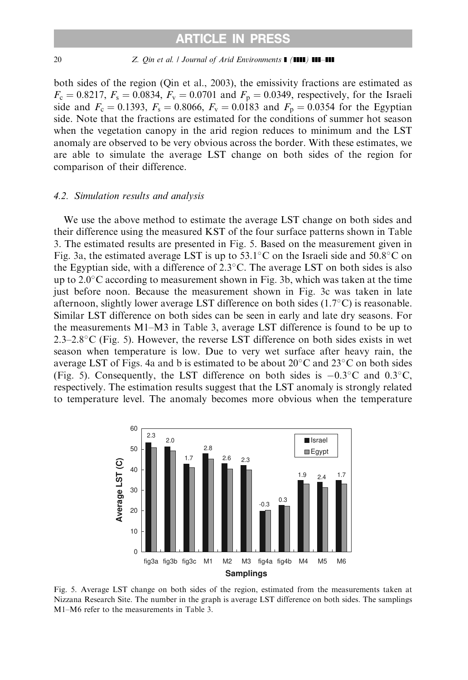20 *Z. Qin et al. | Journal of Arid Environments*  $\blacksquare$  *(* $\blacksquare$ )  $\blacksquare$ 

both sides of the region (Qin et al., 2003), the emissivity fractions are estimated as  $F_c = 0.8217$ ,  $F_s = 0.0834$ ,  $F_v = 0.0701$  and  $F_p = 0.0349$ , respectively, for the Israeli side and  $F_c = 0.1393$ ,  $F_s = 0.8066$ ,  $F_v = 0.0183$  and  $F_p = 0.0354$  for the Egyptian side. Note that the fractions are estimated for the conditions of summer hot season when the vegetation canopy in the arid region reduces to minimum and the LST anomaly are observed to be very obvious across the border. With these estimates, we are able to simulate the average LST change on both sides of the region for comparison of their difference.

### *4.2. Simulation results and analysis*

We use the above method to estimate the average LST change on both sides and their difference using the measured KST of the four surface patterns shown in Table 3. The estimated results are presented in Fig. 5. Based on the measurement given in Fig. 3a, the estimated average LST is up to  $53.1^{\circ}$ C on the Israeli side and  $50.8^{\circ}$ C on the Egyptian side, with a difference of  $2.3^{\circ}$ C. The average LST on both sides is also up to  $2.0^{\circ}$ C according to measurement shown in Fig. 3b, which was taken at the time just before noon. Because the measurement shown in Fig. 3c was taken in late afternoon, slightly lower average LST difference on both sides  $(1.7^{\circ}C)$  is reasonable. Similar LST difference on both sides can be seen in early and late dry seasons. For the measurements M1–M3 in Table 3, average LST difference is found to be up to 2.3–2.8 $\degree$ C (Fig. 5). However, the reverse LST difference on both sides exists in wet season when temperature is low. Due to very wet surface after heavy rain, the average LST of Figs. 4a and b is estimated to be about  $20^{\circ}$ C and  $23^{\circ}$ C on both sides (Fig. 5). Consequently, the LST difference on both sides is  $-0.3^{\circ}$ C and 0.3<sup>o</sup>C, respectively. The estimation results suggest that the LST anomaly is strongly related to temperature level. The anomaly becomes more obvious when the temperature



Fig. 5. Average LST change on both sides of the region, estimated from the measurements taken at Nizzana Research Site. The number in the graph is average LST difference on both sides. The samplings M1–M6 refer to the measurements in Table 3.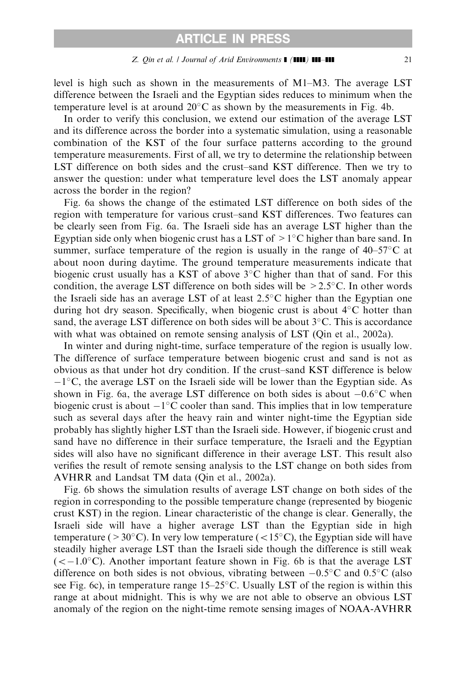*Z. Qin et al. | Journal of Arid Environments*  $\blacksquare$  *(IIII)*  $\blacksquare$ 

level is high such as shown in the measurements of M1–M3. The average LST difference between the Israeli and the Egyptian sides reduces to minimum when the temperature level is at around  $20^{\circ}$ C as shown by the measurements in Fig. 4b.

In order to verify this conclusion, we extend our estimation of the average LST and its difference across the border into a systematic simulation, using a reasonable combination of the KST of the four surface patterns according to the ground temperature measurements. First of all, we try to determine the relationship between LST difference on both sides and the crust–sand KST difference. Then we try to answer the question: under what temperature level does the LST anomaly appear across the border in the region?

Fig. 6a shows the change of the estimated LST difference on both sides of the region with temperature for various crust–sand KST differences. Two features can be clearly seen from Fig. 6a. The Israeli side has an average LST higher than the Egyptian side only when biogenic crust has a LST of  $>1^{\circ}$ C higher than bare sand. In summer, surface temperature of the region is usually in the range of  $40-57^{\circ}$ C at about noon during daytime. The ground temperature measurements indicate that biogenic crust usually has a KST of above  $3^{\circ}$ C higher than that of sand. For this condition, the average LST difference on both sides will be  $>2.5^{\circ}$ C. In other words the Israeli side has an average LST of at least  $2.5^{\circ}$ C higher than the Egyptian one during hot dry season. Specifically, when biogenic crust is about  $4^{\circ}$ C hotter than sand, the average LST difference on both sides will be about  $3^{\circ}$ C. This is accordance with what was obtained on remote sensing analysis of LST (Qin et al., 2002a).

In winter and during night-time, surface temperature of the region is usually low. The difference of surface temperature between biogenic crust and sand is not as obvious as that under hot dry condition. If the crust–sand KST difference is below  $-1$ °C, the average LST on the Israeli side will be lower than the Egyptian side. As shown in Fig. 6a, the average LST difference on both sides is about  $-0.6^{\circ}$ C when biogenic crust is about  $-1$ °C cooler than sand. This implies that in low temperature such as several days after the heavy rain and winter night-time the Egyptian side probably has slightly higher LST than the Israeli side. However, if biogenic crust and sand have no difference in their surface temperature, the Israeli and the Egyptian sides will also have no significant difference in their average LST. This result also verifies the result of remote sensing analysis to the LST change on both sides from AVHRR and Landsat TM data (Qin et al., 2002a).

Fig. 6b shows the simulation results of average LST change on both sides of the region in corresponding to the possible temperature change (represented by biogenic crust KST) in the region. Linear characteristic of the change is clear. Generally, the Israeli side will have a higher average LST than the Egyptian side in high temperature ( $>30^{\circ}$ C). In very low temperature ( $<15^{\circ}$ C), the Egyptian side will have steadily higher average LST than the Israeli side though the difference is still weak  $(<-1.0^{\circ}$ C). Another important feature shown in Fig. 6b is that the average LST difference on both sides is not obvious, vibrating between  $-0.5^{\circ}$ C and  $0.5^{\circ}$ C (also see Fig. 6c), in temperature range  $15-25^{\circ}$ C. Usually LST of the region is within this range at about midnight. This is why we are not able to observe an obvious LST anomaly of the region on the night-time remote sensing images of NOAA-AVHRR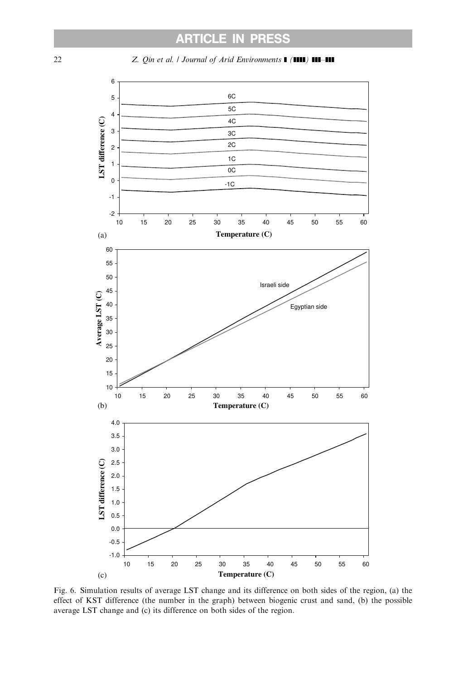22 *Z. Qin et al. | Journal of Arid Environments*  $\blacksquare$  ( $\blacksquare$ )  $\blacksquare$ 



Fig. 6. Simulation results of average LST change and its difference on both sides of the region, (a) the effect of KST difference (the number in the graph) between biogenic crust and sand, (b) the possible average LST change and (c) its difference on both sides of the region.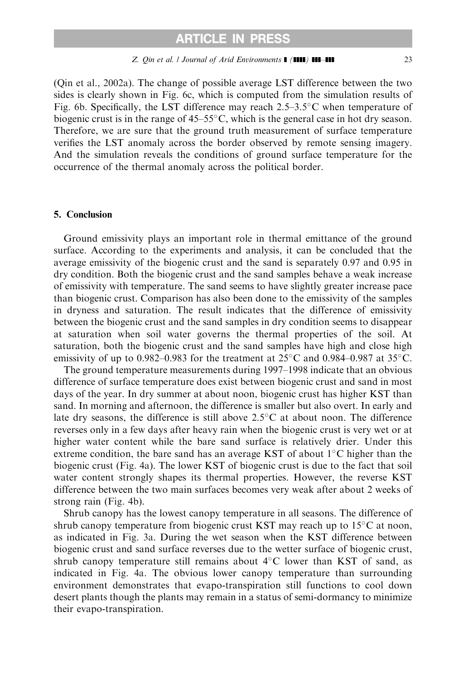(Qin et al., 2002a). The change of possible average LST difference between the two sides is clearly shown in Fig. 6c, which is computed from the simulation results of Fig. 6b. Specifically, the LST difference may reach  $2.5-3.5^{\circ}$ C when temperature of biogenic crust is in the range of  $45-55^{\circ}$ C, which is the general case in hot dry season. Therefore, we are sure that the ground truth measurement of surface temperature verifies the LST anomaly across the border observed by remote sensing imagery. And the simulation reveals the conditions of ground surface temperature for the occurrence of the thermal anomaly across the political border.

### 5. Conclusion

Ground emissivity plays an important role in thermal emittance of the ground surface. According to the experiments and analysis, it can be concluded that the average emissivity of the biogenic crust and the sand is separately 0.97 and 0.95 in dry condition. Both the biogenic crust and the sand samples behave a weak increase of emissivity with temperature. The sand seems to have slightly greater increase pace than biogenic crust. Comparison has also been done to the emissivity of the samples in dryness and saturation. The result indicates that the difference of emissivity between the biogenic crust and the sand samples in dry condition seems to disappear at saturation when soil water governs the thermal properties of the soil. At saturation, both the biogenic crust and the sand samples have high and close high emissivity of up to 0.982–0.983 for the treatment at  $25^{\circ}$ C and 0.984–0.987 at  $35^{\circ}$ C.

The ground temperature measurements during 1997–1998 indicate that an obvious difference of surface temperature does exist between biogenic crust and sand in most days of the year. In dry summer at about noon, biogenic crust has higher KST than sand. In morning and afternoon, the difference is smaller but also overt. In early and late dry seasons, the difference is still above  $2.5^{\circ}$ C at about noon. The difference reverses only in a few days after heavy rain when the biogenic crust is very wet or at higher water content while the bare sand surface is relatively drier. Under this extreme condition, the bare sand has an average KST of about  $1^{\circ}$ C higher than the biogenic crust (Fig. 4a). The lower KST of biogenic crust is due to the fact that soil water content strongly shapes its thermal properties. However, the reverse KST difference between the two main surfaces becomes very weak after about 2 weeks of strong rain (Fig. 4b).

Shrub canopy has the lowest canopy temperature in all seasons. The difference of shrub canopy temperature from biogenic crust KST may reach up to  $15^{\circ}$ C at noon, as indicated in Fig. 3a. During the wet season when the KST difference between biogenic crust and sand surface reverses due to the wetter surface of biogenic crust, shrub canopy temperature still remains about  $4^{\circ}$ C lower than KST of sand, as indicated in Fig. 4a. The obvious lower canopy temperature than surrounding environment demonstrates that evapo-transpiration still functions to cool down desert plants though the plants may remain in a status of semi-dormancy to minimize their evapo-transpiration.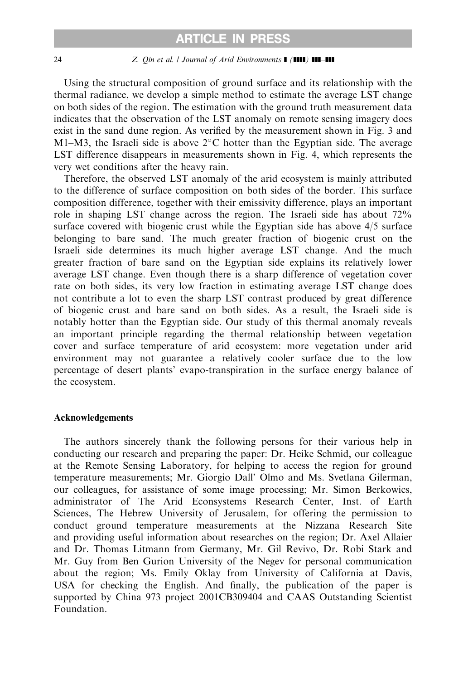### 24 *Z. Qin et al. | Journal of Arid Environments*  $\blacksquare$  *(* $\blacksquare$ )  $\blacksquare$

Using the structural composition of ground surface and its relationship with the thermal radiance, we develop a simple method to estimate the average LST change on both sides of the region. The estimation with the ground truth measurement data indicates that the observation of the LST anomaly on remote sensing imagery does exist in the sand dune region. As verified by the measurement shown in Fig. 3 and M1–M3, the Israeli side is above  $2^{\circ}$ C hotter than the Egyptian side. The average LST difference disappears in measurements shown in Fig. 4, which represents the very wet conditions after the heavy rain.

Therefore, the observed LST anomaly of the arid ecosystem is mainly attributed to the difference of surface composition on both sides of the border. This surface composition difference, together with their emissivity difference, plays an important role in shaping LST change across the region. The Israeli side has about 72% surface covered with biogenic crust while the Egyptian side has above 4/5 surface belonging to bare sand. The much greater fraction of biogenic crust on the Israeli side determines its much higher average LST change. And the much greater fraction of bare sand on the Egyptian side explains its relatively lower average LST change. Even though there is a sharp difference of vegetation cover rate on both sides, its very low fraction in estimating average LST change does not contribute a lot to even the sharp LST contrast produced by great difference of biogenic crust and bare sand on both sides. As a result, the Israeli side is notably hotter than the Egyptian side. Our study of this thermal anomaly reveals an important principle regarding the thermal relationship between vegetation cover and surface temperature of arid ecosystem: more vegetation under arid environment may not guarantee a relatively cooler surface due to the low percentage of desert plants' evapo-transpiration in the surface energy balance of the ecosystem.

### Acknowledgements

The authors sincerely thank the following persons for their various help in conducting our research and preparing the paper: Dr. Heike Schmid, our colleague at the Remote Sensing Laboratory, for helping to access the region for ground temperature measurements; Mr. Giorgio Dall' Olmo and Ms. Svetlana Gilerman, our colleagues, for assistance of some image processing; Mr. Simon Berkowics, administrator of The Arid Econsystems Research Center, Inst. of Earth Sciences, The Hebrew University of Jerusalem, for offering the permission to conduct ground temperature measurements at the Nizzana Research Site and providing useful information about researches on the region; Dr. Axel Allaier and Dr. Thomas Litmann from Germany, Mr. Gil Revivo, Dr. Robi Stark and Mr. Guy from Ben Gurion University of the Negev for personal communication about the region; Ms. Emily Oklay from University of California at Davis, USA for checking the English. And finally, the publication of the paper is supported by China 973 project 2001CB309404 and CAAS Outstanding Scientist Foundation.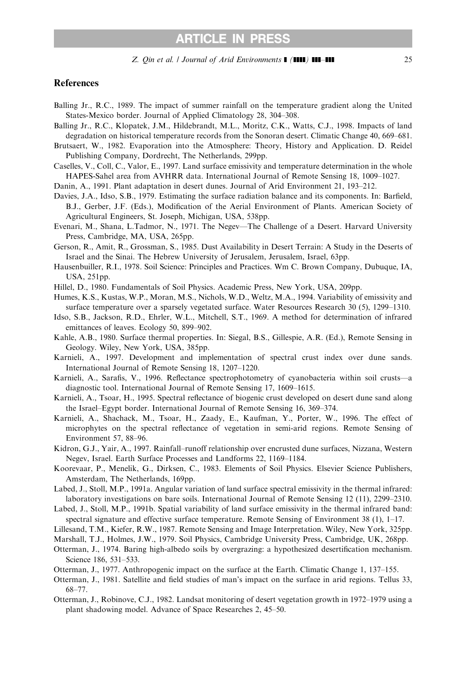- Balling Jr., R.C., 1989. The impact of summer rainfall on the temperature gradient along the United States-Mexico border. Journal of Applied Climatology 28, 304–308.
- Balling Jr., R.C., Klopatek, J.M., Hildebrandt, M.L., Moritz, C.K., Watts, C.J., 1998. Impacts of land degradation on historical temperature records from the Sonoran desert. Climatic Change 40, 669–681.
- Brutsaert, W., 1982. Evaporation into the Atmosphere: Theory, History and Application. D. Reidel Publishing Company, Dordrecht, The Netherlands, 299pp.
- Caselles, V., Coll, C., Valor, E., 1997. Land surface emissivity and temperature determination in the whole HAPES-Sahel area from AVHRR data. International Journal of Remote Sensing 18, 1009–1027.
- Danin, A., 1991. Plant adaptation in desert dunes. Journal of Arid Environment 21, 193–212.
- Davies, J.A., Idso, S.B., 1979. Estimating the surface radiation balance and its components. In: Barfield, B.J., Gerber, J.F. (Eds.), Modification of the Aerial Environment of Plants. American Society of Agricultural Engineers, St. Joseph, Michigan, USA, 538pp.
- Evenari, M., Shana, L.Tadmor, N., 1971. The Negev—The Challenge of a Desert. Harvard University Press, Cambridge, MA, USA, 265pp.
- Gerson, R., Amit, R., Grossman, S., 1985. Dust Availability in Desert Terrain: A Study in the Deserts of Israel and the Sinai. The Hebrew University of Jerusalem, Jerusalem, Israel, 63pp.
- Hausenbuiller, R.I., 1978. Soil Science: Principles and Practices. Wm C. Brown Company, Dubuque, IA, USA, 251pp.
- Hillel, D., 1980. Fundamentals of Soil Physics. Academic Press, New York, USA, 209pp.
- Humes, K.S., Kustas, W.P., Moran, M.S., Nichols, W.D., Weltz, M.A., 1994. Variability of emissivity and surface temperature over a sparsely vegetated surface. Water Resources Research 30 (5), 1299–1310.
- Idso, S.B., Jackson, R.D., Ehrler, W.L., Mitchell, S.T., 1969. A method for determination of infrared emittances of leaves. Ecology 50, 899–902.
- Kahle, A.B., 1980. Surface thermal properties. In: Siegal, B.S., Gillespie, A.R. (Ed.), Remote Sensing in Geology. Wiley, New York, USA, 385pp.
- Karnieli, A., 1997. Development and implementation of spectral crust index over dune sands. International Journal of Remote Sensing 18, 1207–1220.
- Karnieli, A., Sarafis, V., 1996. Reflectance spectrophotometry of cyanobacteria within soil crusts—a diagnostic tool. International Journal of Remote Sensing 17, 1609–1615.
- Karnieli, A., Tsoar, H., 1995. Spectral reflectance of biogenic crust developed on desert dune sand along the Israel–Egypt border. International Journal of Remote Sensing 16, 369–374.
- Karnieli, A., Shachack, M., Tsoar, H., Zaady, E., Kaufman, Y., Porter, W., 1996. The effect of microphytes on the spectral reflectance of vegetation in semi-arid regions. Remote Sensing of Environment 57, 88–96.
- Kidron, G.J., Yair, A., 1997. Rainfall–runoff relationship over encrusted dune surfaces, Nizzana, Western Negev, Israel. Earth Surface Processes and Landforms 22, 1169–1184.
- Koorevaar, P., Menelik, G., Dirksen, C., 1983. Elements of Soil Physics. Elsevier Science Publishers, Amsterdam, The Netherlands, 169pp.
- Labed, J., Stoll, M.P., 1991a. Angular variation of land surface spectral emissivity in the thermal infrared: laboratory investigations on bare soils. International Journal of Remote Sensing 12 (11), 2299–2310.
- Labed, J., Stoll, M.P., 1991b. Spatial variability of land surface emissivity in the thermal infrared band: spectral signature and effective surface temperature. Remote Sensing of Environment 38 (1), 1–17.
- Lillesand, T.M., Kiefer, R.W., 1987. Remote Sensing and Image Interpretation. Wiley, New York, 325pp.
- Marshall, T.J., Holmes, J.W., 1979. Soil Physics, Cambridge University Press, Cambridge, UK, 268pp.
- Otterman, J., 1974. Baring high-albedo soils by overgrazing: a hypothesized desertification mechanism. Science 186, 531–533.
- Otterman, J., 1977. Anthropogenic impact on the surface at the Earth. Climatic Change 1, 137–155.
- Otterman, J., 1981. Satellite and field studies of man's impact on the surface in arid regions. Tellus 33, 68–77.
- Otterman, J., Robinove, C.J., 1982. Landsat monitoring of desert vegetation growth in 1972–1979 using a plant shadowing model. Advance of Space Researches 2, 45–50.